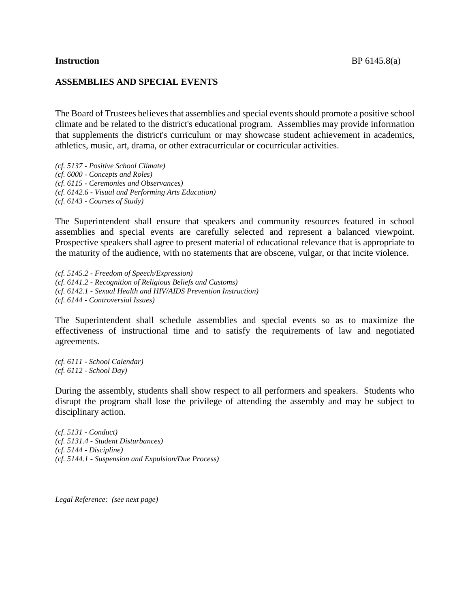## **ASSEMBLIES AND SPECIAL EVENTS**

The Board of Trustees believes that assemblies and special events should promote a positive school climate and be related to the district's educational program. Assemblies may provide information that supplements the district's curriculum or may showcase student achievement in academics, athletics, music, art, drama, or other extracurricular or cocurricular activities.

*(cf. 5137 - Positive School Climate) (cf. 6000 - Concepts and Roles) (cf. 6115 - Ceremonies and Observances) (cf. 6142.6 - Visual and Performing Arts Education) (cf. 6143 - Courses of Study)*

The Superintendent shall ensure that speakers and community resources featured in school assemblies and special events are carefully selected and represent a balanced viewpoint. Prospective speakers shall agree to present material of educational relevance that is appropriate to the maturity of the audience, with no statements that are obscene, vulgar, or that incite violence.

*(cf. 5145.2 - Freedom of Speech/Expression) (cf. 6141.2 - Recognition of Religious Beliefs and Customs) (cf. 6142.1 - Sexual Health and HIV/AIDS Prevention Instruction) (cf. 6144 - Controversial Issues)*

The Superintendent shall schedule assemblies and special events so as to maximize the effectiveness of instructional time and to satisfy the requirements of law and negotiated agreements.

*(cf. 6111 - School Calendar) (cf. 6112 - School Day)*

During the assembly, students shall show respect to all performers and speakers. Students who disrupt the program shall lose the privilege of attending the assembly and may be subject to disciplinary action.

*(cf. 5131 - Conduct) (cf. 5131.4 - Student Disturbances) (cf. 5144 - Discipline) (cf. 5144.1 - Suspension and Expulsion/Due Process)*

*Legal Reference: (see next page)*